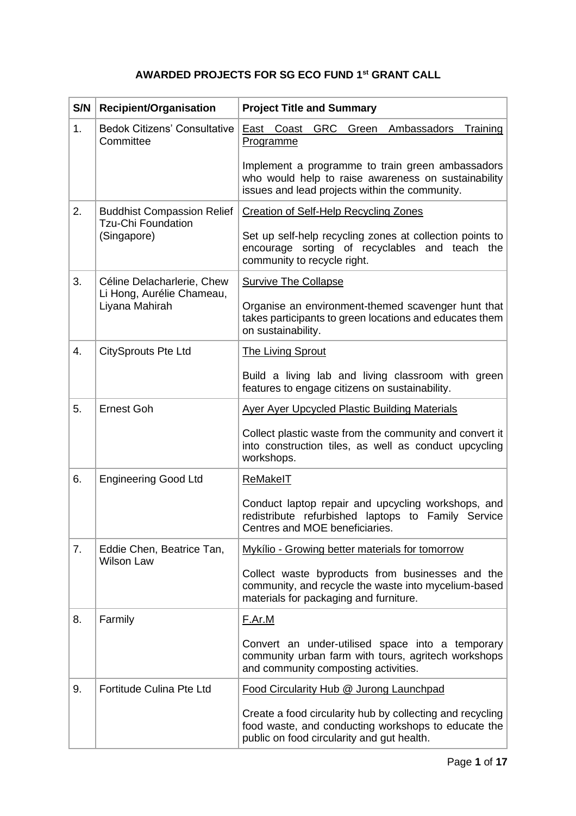## **AWARDED PROJECTS FOR SG ECO FUND 1st GRANT CALL**

| S/N | <b>Recipient/Organisation</b>                                  | <b>Project Title and Summary</b>                                                                                                                               |
|-----|----------------------------------------------------------------|----------------------------------------------------------------------------------------------------------------------------------------------------------------|
| 1.  | <b>Bedok Citizens' Consultative</b><br>Committee               | <b>GRC</b><br>Green Ambassadors<br>East Coast<br>Training<br><b>Programme</b>                                                                                  |
|     |                                                                | Implement a programme to train green ambassadors<br>who would help to raise awareness on sustainability<br>issues and lead projects within the community.      |
| 2.  | <b>Buddhist Compassion Relief</b><br><b>Tzu-Chi Foundation</b> | <b>Creation of Self-Help Recycling Zones</b>                                                                                                                   |
|     | (Singapore)                                                    | Set up self-help recycling zones at collection points to<br>encourage sorting of recyclables and teach the<br>community to recycle right.                      |
| 3.  | Céline Delacharlerie, Chew<br>Li Hong, Aurélie Chameau,        | <b>Survive The Collapse</b>                                                                                                                                    |
|     | Liyana Mahirah                                                 | Organise an environment-themed scavenger hunt that<br>takes participants to green locations and educates them<br>on sustainability.                            |
| 4.  | <b>CitySprouts Pte Ltd</b>                                     | <b>The Living Sprout</b>                                                                                                                                       |
|     |                                                                | Build a living lab and living classroom with green<br>features to engage citizens on sustainability.                                                           |
| 5.  | <b>Ernest Goh</b>                                              | <b>Ayer Ayer Upcycled Plastic Building Materials</b>                                                                                                           |
|     |                                                                | Collect plastic waste from the community and convert it<br>into construction tiles, as well as conduct upcycling<br>workshops.                                 |
| 6.  | <b>Engineering Good Ltd</b>                                    | ReMakelT                                                                                                                                                       |
|     |                                                                | Conduct laptop repair and upcycling workshops, and<br>redistribute refurbished laptops to Family Service<br>Centres and MOE beneficiaries.                     |
| 7.  | Eddie Chen, Beatrice Tan,<br><b>Wilson Law</b>                 | Mykílio - Growing better materials for tomorrow                                                                                                                |
|     |                                                                | Collect waste byproducts from businesses and the<br>community, and recycle the waste into mycelium-based<br>materials for packaging and furniture.             |
| 8.  | Farmily                                                        | F.Ar.M                                                                                                                                                         |
|     |                                                                | Convert an under-utilised space into a temporary<br>community urban farm with tours, agritech workshops<br>and community composting activities.                |
| 9.  | Fortitude Culina Pte Ltd                                       | Food Circularity Hub @ Jurong Launchpad                                                                                                                        |
|     |                                                                | Create a food circularity hub by collecting and recycling<br>food waste, and conducting workshops to educate the<br>public on food circularity and gut health. |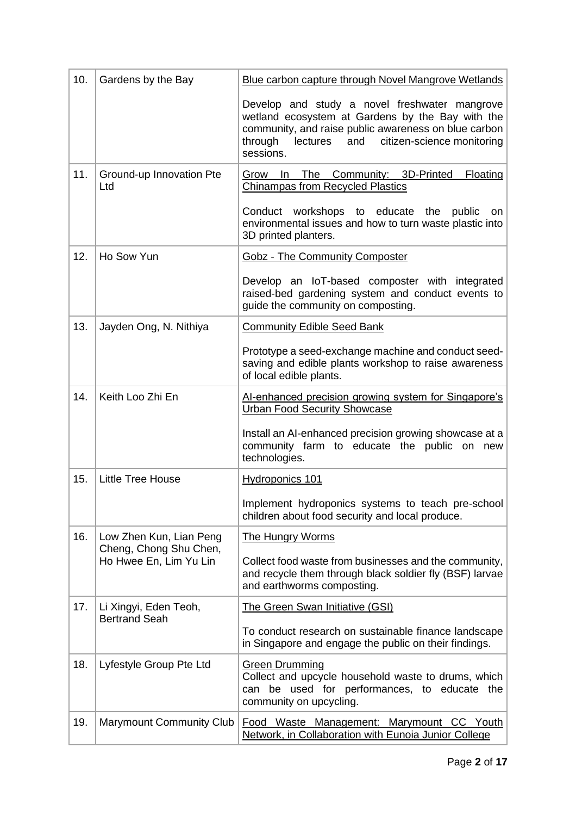| 10. | Gardens by the Bay                               | Blue carbon capture through Novel Mangrove Wetlands                                                                                                                                                                                |
|-----|--------------------------------------------------|------------------------------------------------------------------------------------------------------------------------------------------------------------------------------------------------------------------------------------|
|     |                                                  | Develop and study a novel freshwater mangrove<br>wetland ecosystem at Gardens by the Bay with the<br>community, and raise public awareness on blue carbon<br>through<br>citizen-science monitoring<br>lectures<br>and<br>sessions. |
| 11. | Ground-up Innovation Pte<br>Ltd                  | Floating<br><b>The</b><br>Community: 3D-Printed<br>Grow<br>In.<br><b>Chinampas from Recycled Plastics</b>                                                                                                                          |
|     |                                                  | Conduct workshops<br>to educate<br>the<br>public<br><b>on</b><br>environmental issues and how to turn waste plastic into<br>3D printed planters.                                                                                   |
| 12. | Ho Sow Yun                                       | <b>Gobz - The Community Composter</b>                                                                                                                                                                                              |
|     |                                                  | Develop an IoT-based composter with integrated<br>raised-bed gardening system and conduct events to<br>quide the community on composting.                                                                                          |
| 13. | Jayden Ong, N. Nithiya                           | <b>Community Edible Seed Bank</b>                                                                                                                                                                                                  |
|     |                                                  | Prototype a seed-exchange machine and conduct seed-<br>saving and edible plants workshop to raise awareness<br>of local edible plants.                                                                                             |
| 14. | Keith Loo Zhi En                                 | Al-enhanced precision growing system for Singapore's<br><b>Urban Food Security Showcase</b>                                                                                                                                        |
|     |                                                  | Install an AI-enhanced precision growing showcase at a<br>community farm to educate the public on new<br>technologies.                                                                                                             |
| 15. | <b>Little Tree House</b>                         | <b>Hydroponics 101</b>                                                                                                                                                                                                             |
|     |                                                  | Implement hydroponics systems to teach pre-school<br>children about food security and local produce.                                                                                                                               |
| 16. | Low Zhen Kun, Lian Peng                          | <b>The Hungry Worms</b>                                                                                                                                                                                                            |
|     | Cheng, Chong Shu Chen,<br>Ho Hwee En, Lim Yu Lin | Collect food waste from businesses and the community,<br>and recycle them through black soldier fly (BSF) larvae<br>and earthworms composting.                                                                                     |
| 17. | Li Xingyi, Eden Teoh,<br><b>Bertrand Seah</b>    | <b>The Green Swan Initiative (GSI)</b>                                                                                                                                                                                             |
|     |                                                  | To conduct research on sustainable finance landscape<br>in Singapore and engage the public on their findings.                                                                                                                      |
| 18. | Lyfestyle Group Pte Ltd                          | <b>Green Drumming</b><br>Collect and upcycle household waste to drums, which<br>can be used for performances, to educate the<br>community on upcycling.                                                                            |
| 19. | <b>Marymount Community Club</b>                  | Food Waste Management: Marymount CC Youth<br>Network, in Collaboration with Eunoia Junior College                                                                                                                                  |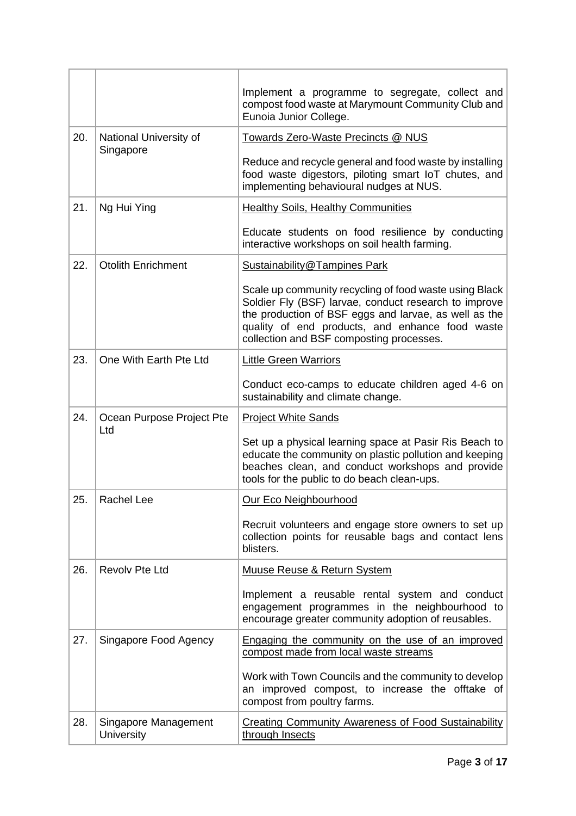|     |                           | Implement a programme to segregate, collect and<br>compost food waste at Marymount Community Club and<br>Eunoia Junior College.                                                                                                                                         |
|-----|---------------------------|-------------------------------------------------------------------------------------------------------------------------------------------------------------------------------------------------------------------------------------------------------------------------|
| 20. | National University of    | Towards Zero-Waste Precincts @ NUS                                                                                                                                                                                                                                      |
|     | Singapore                 | Reduce and recycle general and food waste by installing<br>food waste digestors, piloting smart IoT chutes, and<br>implementing behavioural nudges at NUS.                                                                                                              |
| 21. | Ng Hui Ying               | <b>Healthy Soils, Healthy Communities</b>                                                                                                                                                                                                                               |
|     |                           | Educate students on food resilience by conducting<br>interactive workshops on soil health farming.                                                                                                                                                                      |
| 22. | <b>Otolith Enrichment</b> | <b>Sustainability@Tampines Park</b>                                                                                                                                                                                                                                     |
|     |                           | Scale up community recycling of food waste using Black<br>Soldier Fly (BSF) larvae, conduct research to improve<br>the production of BSF eggs and larvae, as well as the<br>quality of end products, and enhance food waste<br>collection and BSF composting processes. |
| 23. | One With Earth Pte Ltd    | <b>Little Green Warriors</b>                                                                                                                                                                                                                                            |
|     |                           | Conduct eco-camps to educate children aged 4-6 on<br>sustainability and climate change.                                                                                                                                                                                 |
|     |                           |                                                                                                                                                                                                                                                                         |
| 24. | Ocean Purpose Project Pte | <b>Project White Sands</b>                                                                                                                                                                                                                                              |
|     | Ltd                       | Set up a physical learning space at Pasir Ris Beach to<br>educate the community on plastic pollution and keeping<br>beaches clean, and conduct workshops and provide<br>tools for the public to do beach clean-ups.                                                     |
| 25. | Rachel Lee                | <b>Our Eco Neighbourhood</b>                                                                                                                                                                                                                                            |
|     |                           | Recruit volunteers and engage store owners to set up<br>collection points for reusable bags and contact lens<br>blisters.                                                                                                                                               |
| 26. | <b>Revolv Pte Ltd</b>     | <b>Muuse Reuse &amp; Return System</b>                                                                                                                                                                                                                                  |
|     |                           | Implement a reusable rental system and conduct<br>engagement programmes in the neighbourhood to<br>encourage greater community adoption of reusables.                                                                                                                   |
| 27. | Singapore Food Agency     | Engaging the community on the use of an improved<br>compost made from local waste streams                                                                                                                                                                               |
|     |                           | Work with Town Councils and the community to develop<br>an improved compost, to increase the offtake of<br>compost from poultry farms.                                                                                                                                  |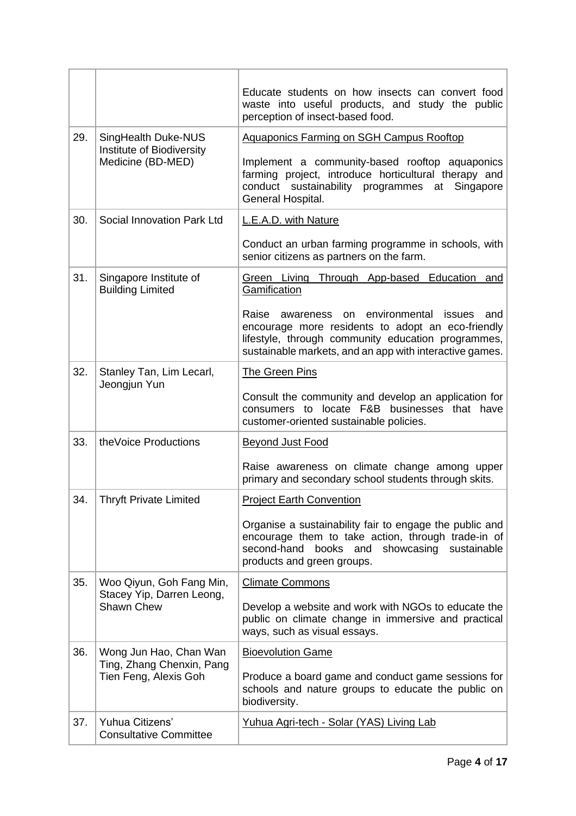|     |                                                       | Educate students on how insects can convert food<br>waste into useful products, and study the public<br>perception of insect-based food.                                                                                                |
|-----|-------------------------------------------------------|-----------------------------------------------------------------------------------------------------------------------------------------------------------------------------------------------------------------------------------------|
| 29. | SingHealth Duke-NUS<br>Institute of Biodiversity      | <b>Aquaponics Farming on SGH Campus Rooftop</b>                                                                                                                                                                                         |
|     | Medicine (BD-MED)                                     | Implement a community-based rooftop aquaponics<br>farming project, introduce horticultural therapy and<br>conduct sustainability programmes at<br>Singapore<br>General Hospital.                                                        |
| 30. | Social Innovation Park Ltd                            | L.E.A.D. with Nature                                                                                                                                                                                                                    |
|     |                                                       | Conduct an urban farming programme in schools, with<br>senior citizens as partners on the farm.                                                                                                                                         |
| 31. | Singapore Institute of<br><b>Building Limited</b>     | Green Living Through App-based Education and<br>Gamification                                                                                                                                                                            |
|     |                                                       | Raise<br>environmental<br>issues<br>awareness<br><b>on</b><br>and<br>encourage more residents to adopt an eco-friendly<br>lifestyle, through community education programmes,<br>sustainable markets, and an app with interactive games. |
| 32. | Stanley Tan, Lim Lecarl,<br>Jeongjun Yun              | <b>The Green Pins</b>                                                                                                                                                                                                                   |
|     |                                                       | Consult the community and develop an application for<br>consumers to locate F&B businesses that have<br>customer-oriented sustainable policies.                                                                                         |
| 33. | the Voice Productions                                 | <b>Beyond Just Food</b>                                                                                                                                                                                                                 |
|     |                                                       | Raise awareness on climate change among upper<br>primary and secondary school students through skits.                                                                                                                                   |
| 34. | <b>Thryft Private Limited</b>                         | <b>Project Earth Convention</b>                                                                                                                                                                                                         |
|     |                                                       | Organise a sustainability fair to engage the public and<br>encourage them to take action, through trade-in of<br>second-hand<br>books and<br>showcasing sustainable<br>products and green groups.                                       |
| 35. | Woo Qiyun, Goh Fang Min,<br>Stacey Yip, Darren Leong, | <b>Climate Commons</b>                                                                                                                                                                                                                  |
|     | Shawn Chew                                            | Develop a website and work with NGOs to educate the<br>public on climate change in immersive and practical<br>ways, such as visual essays.                                                                                              |
| 36. | Wong Jun Hao, Chan Wan<br>Ting, Zhang Chenxin, Pang   | <b>Bioevolution Game</b>                                                                                                                                                                                                                |
|     | Tien Feng, Alexis Goh                                 | Produce a board game and conduct game sessions for<br>schools and nature groups to educate the public on<br>biodiversity.                                                                                                               |
| 37. | Yuhua Citizens'<br><b>Consultative Committee</b>      | <u>Yuhua Agri-tech - Solar (YAS) Living Lab</u>                                                                                                                                                                                         |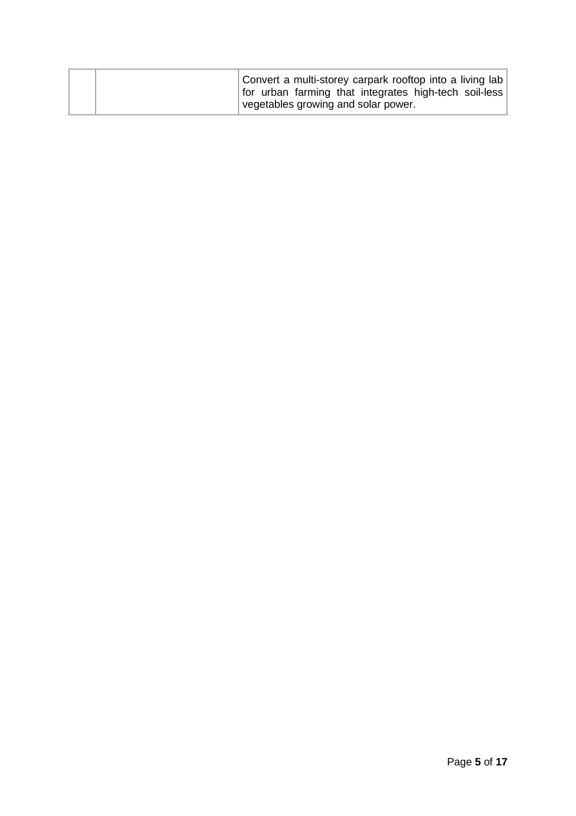| Convert a multi-storey carpark rooftop into a living lab<br>for urban farming that integrates high-tech soil-less |  |
|-------------------------------------------------------------------------------------------------------------------|--|
| vegetables growing and solar power.                                                                               |  |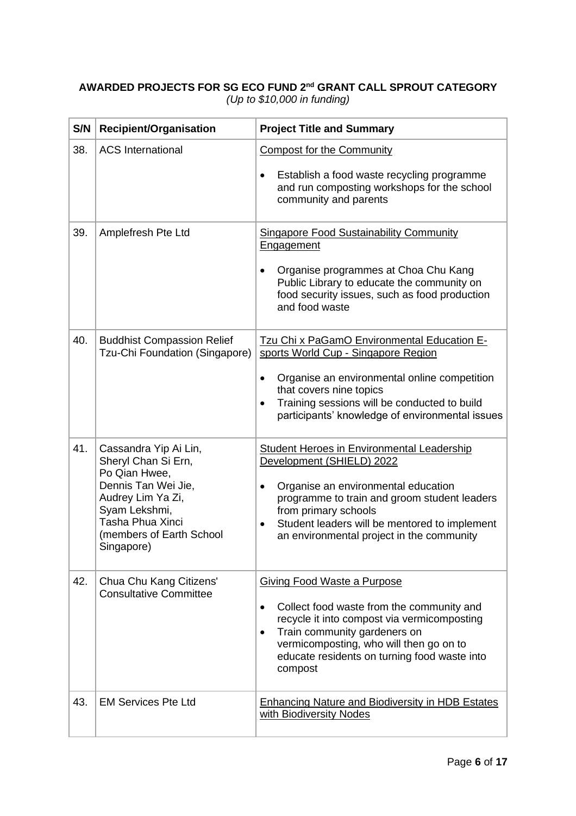## **AWARDED PROJECTS FOR SG ECO FUND 2nd GRANT CALL SPROUT CATEGORY** *(Up to \$10,000 in funding)*

| S/N | Recipient/Organisation                                                                                                                                                                   | <b>Project Title and Summary</b>                                                                                                                                                                                                                                                                                      |
|-----|------------------------------------------------------------------------------------------------------------------------------------------------------------------------------------------|-----------------------------------------------------------------------------------------------------------------------------------------------------------------------------------------------------------------------------------------------------------------------------------------------------------------------|
| 38. | <b>ACS International</b>                                                                                                                                                                 | <b>Compost for the Community</b><br>Establish a food waste recycling programme<br>and run composting workshops for the school<br>community and parents                                                                                                                                                                |
| 39. | Amplefresh Pte Ltd                                                                                                                                                                       | <b>Singapore Food Sustainability Community</b><br>Engagement<br>Organise programmes at Choa Chu Kang<br>Public Library to educate the community on<br>food security issues, such as food production<br>and food waste                                                                                                 |
| 40. | <b>Buddhist Compassion Relief</b><br>Tzu-Chi Foundation (Singapore)                                                                                                                      | Tzu Chi x PaGamO Environmental Education E-<br>sports World Cup - Singapore Region<br>Organise an environmental online competition<br>$\bullet$<br>that covers nine topics<br>Training sessions will be conducted to build<br>participants' knowledge of environmental issues                                         |
| 41. | Cassandra Yip Ai Lin,<br>Sheryl Chan Si Ern,<br>Po Qian Hwee,<br>Dennis Tan Wei Jie,<br>Audrey Lim Ya Zi,<br>Syam Lekshmi,<br>Tasha Phua Xinci<br>(members of Earth School<br>Singapore) | <b>Student Heroes in Environmental Leadership</b><br>Development (SHIELD) 2022<br>Organise an environmental education<br>$\bullet$<br>programme to train and groom student leaders<br>from primary schools<br>Student leaders will be mentored to implement<br>$\bullet$<br>an environmental project in the community |
| 42. | Chua Chu Kang Citizens'<br><b>Consultative Committee</b>                                                                                                                                 | <b>Giving Food Waste a Purpose</b><br>Collect food waste from the community and<br>$\bullet$<br>recycle it into compost via vermicomposting<br>Train community gardeners on<br>$\bullet$<br>vermicomposting, who will then go on to<br>educate residents on turning food waste into<br>compost                        |
| 43. | <b>EM Services Pte Ltd</b>                                                                                                                                                               | <b>Enhancing Nature and Biodiversity in HDB Estates</b><br>with Biodiversity Nodes                                                                                                                                                                                                                                    |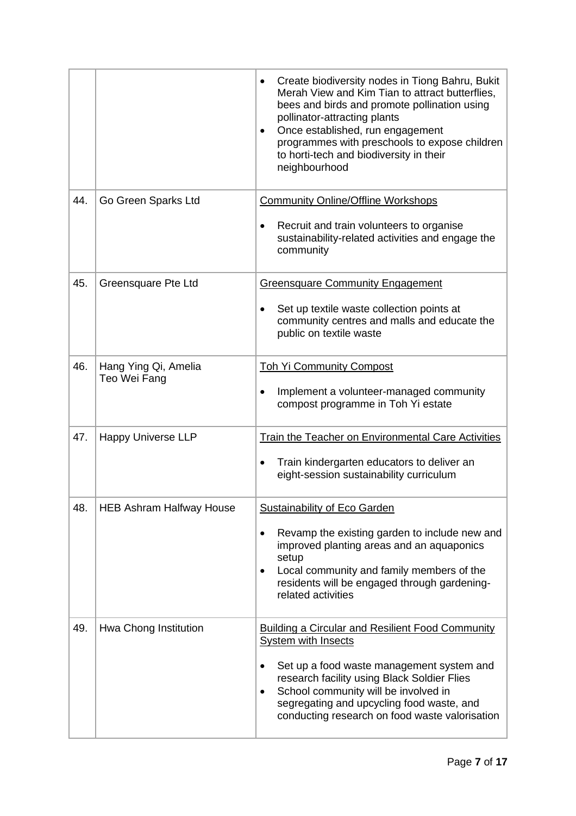|     |                                      | Create biodiversity nodes in Tiong Bahru, Bukit<br>Merah View and Kim Tian to attract butterflies,<br>bees and birds and promote pollination using<br>pollinator-attracting plants<br>Once established, run engagement<br>$\bullet$<br>programmes with preschools to expose children<br>to horti-tech and biodiversity in their<br>neighbourhood |
|-----|--------------------------------------|--------------------------------------------------------------------------------------------------------------------------------------------------------------------------------------------------------------------------------------------------------------------------------------------------------------------------------------------------|
| 44. | Go Green Sparks Ltd                  | <b>Community Online/Offline Workshops</b><br>Recruit and train volunteers to organise<br>sustainability-related activities and engage the<br>community                                                                                                                                                                                           |
| 45. | Greensquare Pte Ltd                  | <b>Greensquare Community Engagement</b><br>Set up textile waste collection points at<br>community centres and malls and educate the<br>public on textile waste                                                                                                                                                                                   |
| 46. | Hang Ying Qi, Amelia<br>Teo Wei Fang | <b>Toh Yi Community Compost</b><br>Implement a volunteer-managed community<br>$\bullet$<br>compost programme in Toh Yi estate                                                                                                                                                                                                                    |
| 47. | <b>Happy Universe LLP</b>            | <b>Train the Teacher on Environmental Care Activities</b><br>Train kindergarten educators to deliver an<br>eight-session sustainability curriculum                                                                                                                                                                                               |
| 48. | <b>HEB Ashram Halfway House</b>      | Sustainability of Eco Garden<br>Revamp the existing garden to include new and<br>improved planting areas and an aquaponics<br>setup<br>Local community and family members of the<br>$\bullet$<br>residents will be engaged through gardening-<br>related activities                                                                              |
| 49. | Hwa Chong Institution                | <b>Building a Circular and Resilient Food Community</b><br><b>System with Insects</b><br>Set up a food waste management system and<br>research facility using Black Soldier Flies<br>School community will be involved in<br>$\bullet$<br>segregating and upcycling food waste, and<br>conducting research on food waste valorisation            |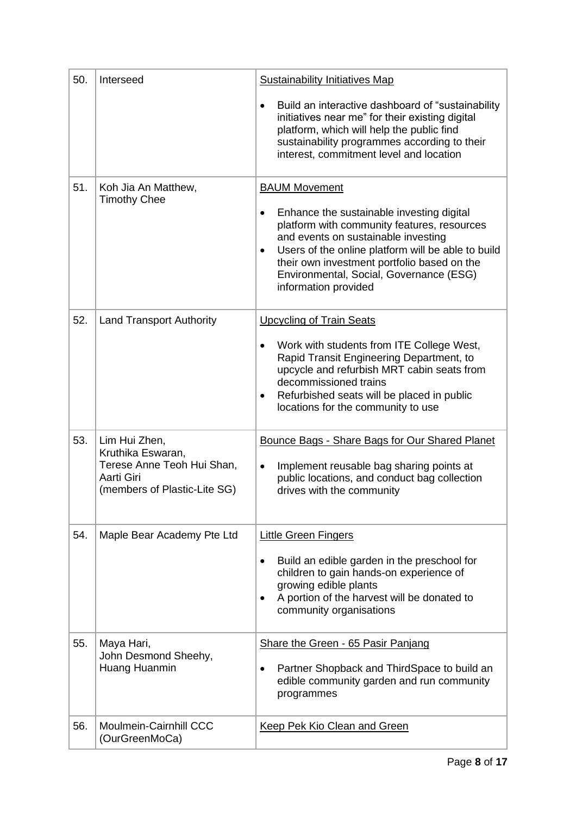| 50. | Interseed                                                                                                      | <b>Sustainability Initiatives Map</b>                                                                                                                                                                                                                                                                                                             |
|-----|----------------------------------------------------------------------------------------------------------------|---------------------------------------------------------------------------------------------------------------------------------------------------------------------------------------------------------------------------------------------------------------------------------------------------------------------------------------------------|
|     |                                                                                                                | Build an interactive dashboard of "sustainability"<br>$\bullet$<br>initiatives near me" for their existing digital<br>platform, which will help the public find<br>sustainability programmes according to their<br>interest, commitment level and location                                                                                        |
| 51. | Koh Jia An Matthew,<br><b>Timothy Chee</b>                                                                     | <b>BAUM Movement</b><br>Enhance the sustainable investing digital<br>٠<br>platform with community features, resources<br>and events on sustainable investing<br>Users of the online platform will be able to build<br>$\bullet$<br>their own investment portfolio based on the<br>Environmental, Social, Governance (ESG)<br>information provided |
| 52. | <b>Land Transport Authority</b>                                                                                | <b>Upcycling of Train Seats</b><br>Work with students from ITE College West,<br>$\bullet$<br>Rapid Transit Engineering Department, to<br>upcycle and refurbish MRT cabin seats from<br>decommissioned trains<br>Refurbished seats will be placed in public<br>locations for the community to use                                                  |
| 53. | Lim Hui Zhen,<br>Kruthika Eswaran,<br>Terese Anne Teoh Hui Shan,<br>Aarti Giri<br>(members of Plastic-Lite SG) | Bounce Bags - Share Bags for Our Shared Planet<br>Implement reusable bag sharing points at<br>$\bullet$<br>public locations, and conduct bag collection<br>drives with the community                                                                                                                                                              |
| 54. | Maple Bear Academy Pte Ltd                                                                                     | <b>Little Green Fingers</b><br>Build an edible garden in the preschool for<br>$\bullet$<br>children to gain hands-on experience of<br>growing edible plants<br>A portion of the harvest will be donated to<br>٠<br>community organisations                                                                                                        |
| 55. | Maya Hari,<br>John Desmond Sheehy,<br>Huang Huanmin                                                            | Share the Green - 65 Pasir Panjang<br>Partner Shopback and ThirdSpace to build an<br>edible community garden and run community<br>programmes                                                                                                                                                                                                      |
| 56. | <b>Moulmein-Cairnhill CCC</b><br>(OurGreenMoCa)                                                                | Keep Pek Kio Clean and Green                                                                                                                                                                                                                                                                                                                      |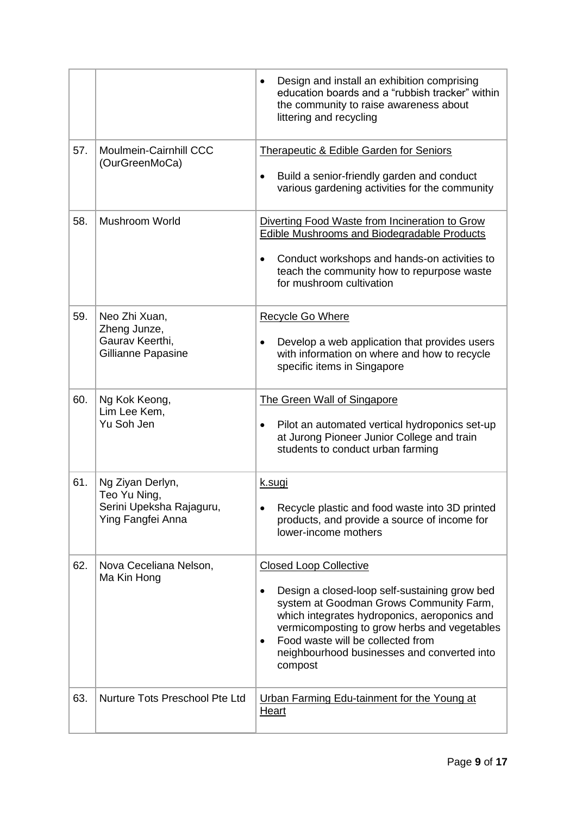|     |                                                                                   | Design and install an exhibition comprising<br>$\bullet$<br>education boards and a "rubbish tracker" within<br>the community to raise awareness about<br>littering and recycling                                                                                                                                                           |
|-----|-----------------------------------------------------------------------------------|--------------------------------------------------------------------------------------------------------------------------------------------------------------------------------------------------------------------------------------------------------------------------------------------------------------------------------------------|
| 57. | Moulmein-Cairnhill CCC<br>(OurGreenMoCa)                                          | <b>Therapeutic &amp; Edible Garden for Seniors</b><br>Build a senior-friendly garden and conduct<br>various gardening activities for the community                                                                                                                                                                                         |
| 58. | <b>Mushroom World</b>                                                             | Diverting Food Waste from Incineration to Grow<br><b>Edible Mushrooms and Biodegradable Products</b><br>Conduct workshops and hands-on activities to<br>$\bullet$<br>teach the community how to repurpose waste<br>for mushroom cultivation                                                                                                |
| 59. | Neo Zhi Xuan,<br>Zheng Junze,<br>Gaurav Keerthi,<br>Gillianne Papasine            | Recycle Go Where<br>Develop a web application that provides users<br>٠<br>with information on where and how to recycle<br>specific items in Singapore                                                                                                                                                                                      |
| 60. | Ng Kok Keong,<br>Lim Lee Kem,<br>Yu Soh Jen                                       | The Green Wall of Singapore<br>Pilot an automated vertical hydroponics set-up<br>$\bullet$<br>at Jurong Pioneer Junior College and train<br>students to conduct urban farming                                                                                                                                                              |
| 61. | Ng Ziyan Derlyn,<br>Teo Yu Ning,<br>Serini Upeksha Rajaguru,<br>Ying Fangfei Anna | k.sugi<br>Recycle plastic and food waste into 3D printed<br>products, and provide a source of income for<br>lower-income mothers                                                                                                                                                                                                           |
| 62. | Nova Ceceliana Nelson,<br>Ma Kin Hong                                             | <b>Closed Loop Collective</b><br>Design a closed-loop self-sustaining grow bed<br>٠<br>system at Goodman Grows Community Farm,<br>which integrates hydroponics, aeroponics and<br>vermicomposting to grow herbs and vegetables<br>Food waste will be collected from<br>$\bullet$<br>neighbourhood businesses and converted into<br>compost |
| 63. | Nurture Tots Preschool Pte Ltd                                                    | Urban Farming Edu-tainment for the Young at<br>Heart                                                                                                                                                                                                                                                                                       |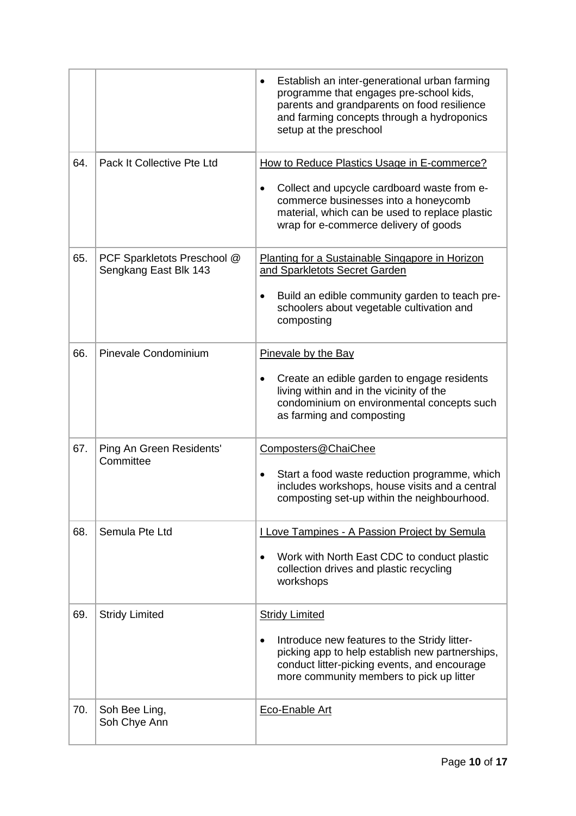|     |                                                      | Establish an inter-generational urban farming<br>programme that engages pre-school kids,<br>parents and grandparents on food resilience<br>and farming concepts through a hydroponics<br>setup at the preschool                   |
|-----|------------------------------------------------------|-----------------------------------------------------------------------------------------------------------------------------------------------------------------------------------------------------------------------------------|
| 64. | Pack It Collective Pte Ltd                           | How to Reduce Plastics Usage in E-commerce?<br>Collect and upcycle cardboard waste from e-<br>commerce businesses into a honeycomb<br>material, which can be used to replace plastic<br>wrap for e-commerce delivery of goods     |
| 65. | PCF Sparkletots Preschool @<br>Sengkang East Blk 143 | Planting for a Sustainable Singapore in Horizon<br>and Sparkletots Secret Garden<br>Build an edible community garden to teach pre-<br>schoolers about vegetable cultivation and<br>composting                                     |
| 66. | <b>Pinevale Condominium</b>                          | Pinevale by the Bay<br>Create an edible garden to engage residents<br>living within and in the vicinity of the<br>condominium on environmental concepts such<br>as farming and composting                                         |
| 67. | Ping An Green Residents'<br>Committee                | Composters@ChaiChee<br>Start a food waste reduction programme, which<br>$\bullet$<br>includes workshops, house visits and a central<br>composting set-up within the neighbourhood.                                                |
| 68. | Semula Pte Ltd                                       | I Love Tampines - A Passion Project by Semula<br>Work with North East CDC to conduct plastic<br>$\bullet$<br>collection drives and plastic recycling<br>workshops                                                                 |
| 69. | <b>Stridy Limited</b>                                | <b>Stridy Limited</b><br>Introduce new features to the Stridy litter-<br>$\bullet$<br>picking app to help establish new partnerships,<br>conduct litter-picking events, and encourage<br>more community members to pick up litter |
| 70. | Soh Bee Ling,<br>Soh Chye Ann                        | <b>Eco-Enable Art</b>                                                                                                                                                                                                             |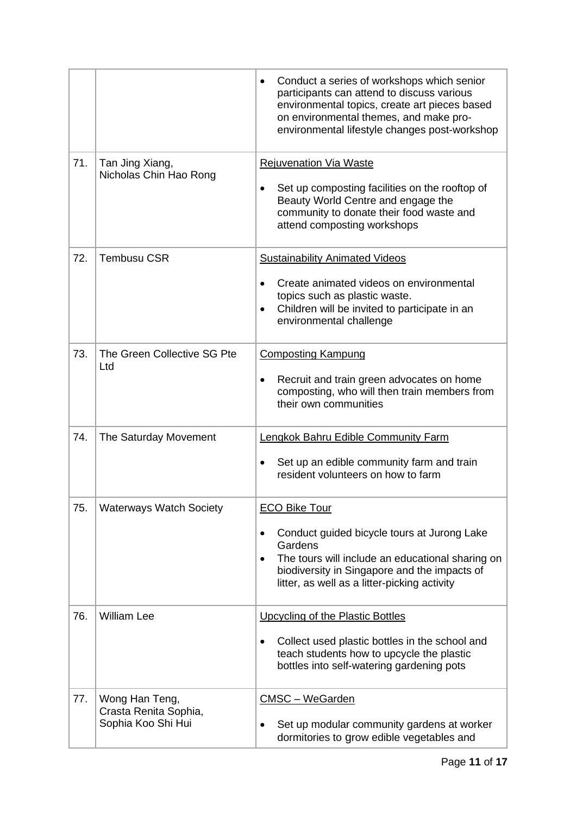|     |                                                               | Conduct a series of workshops which senior<br>participants can attend to discuss various<br>environmental topics, create art pieces based<br>on environmental themes, and make pro-<br>environmental lifestyle changes post-workshop |
|-----|---------------------------------------------------------------|--------------------------------------------------------------------------------------------------------------------------------------------------------------------------------------------------------------------------------------|
| 71. | Tan Jing Xiang,<br>Nicholas Chin Hao Rong                     | <b>Rejuvenation Via Waste</b><br>Set up composting facilities on the rooftop of<br>$\bullet$<br>Beauty World Centre and engage the<br>community to donate their food waste and<br>attend composting workshops                        |
| 72. | <b>Tembusu CSR</b>                                            | <b>Sustainability Animated Videos</b><br>Create animated videos on environmental<br>topics such as plastic waste.<br>Children will be invited to participate in an<br>$\bullet$<br>environmental challenge                           |
| 73. | The Green Collective SG Pte<br>Ltd                            | <b>Composting Kampung</b><br>Recruit and train green advocates on home<br>composting, who will then train members from<br>their own communities                                                                                      |
| 74. | The Saturday Movement                                         | <b>Lengkok Bahru Edible Community Farm</b><br>Set up an edible community farm and train<br>$\bullet$<br>resident volunteers on how to farm                                                                                           |
| 75. | <b>Waterways Watch Society</b>                                | <b>ECO Bike Tour</b><br>Conduct guided bicycle tours at Jurong Lake<br>Gardens<br>The tours will include an educational sharing on<br>biodiversity in Singapore and the impacts of<br>litter, as well as a litter-picking activity   |
| 76. | <b>William Lee</b>                                            | Upcycling of the Plastic Bottles<br>Collect used plastic bottles in the school and<br>teach students how to upcycle the plastic<br>bottles into self-watering gardening pots                                                         |
| 77. | Wong Han Teng,<br>Crasta Renita Sophia,<br>Sophia Koo Shi Hui | CMSC - WeGarden<br>Set up modular community gardens at worker<br>dormitories to grow edible vegetables and                                                                                                                           |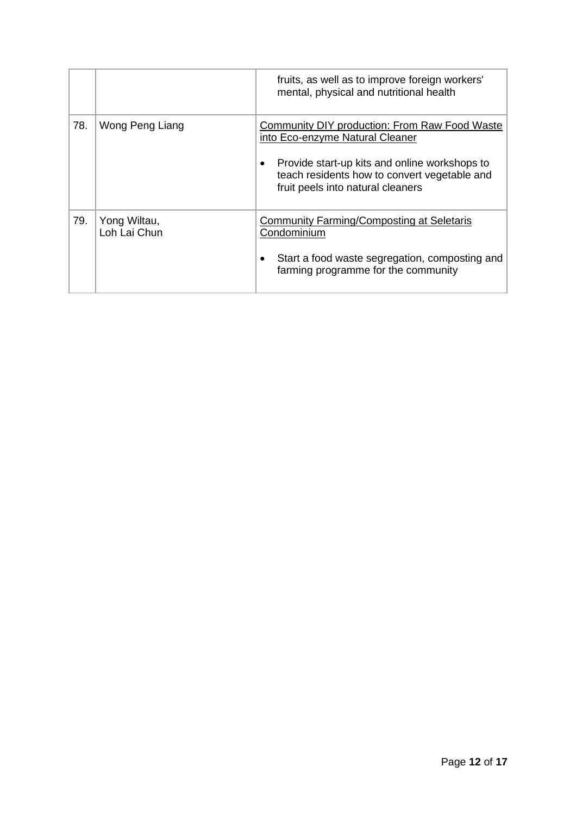|     |                              | fruits, as well as to improve foreign workers'<br>mental, physical and nutritional health                                                                                                                                     |
|-----|------------------------------|-------------------------------------------------------------------------------------------------------------------------------------------------------------------------------------------------------------------------------|
| 78. | Wong Peng Liang              | <b>Community DIY production: From Raw Food Waste</b><br>into Eco-enzyme Natural Cleaner<br>Provide start-up kits and online workshops to<br>teach residents how to convert vegetable and<br>fruit peels into natural cleaners |
| 79. | Yong Wiltau,<br>Loh Lai Chun | Community Farming/Composting at Seletaris<br>Condominium<br>Start a food waste segregation, composting and<br>farming programme for the community                                                                             |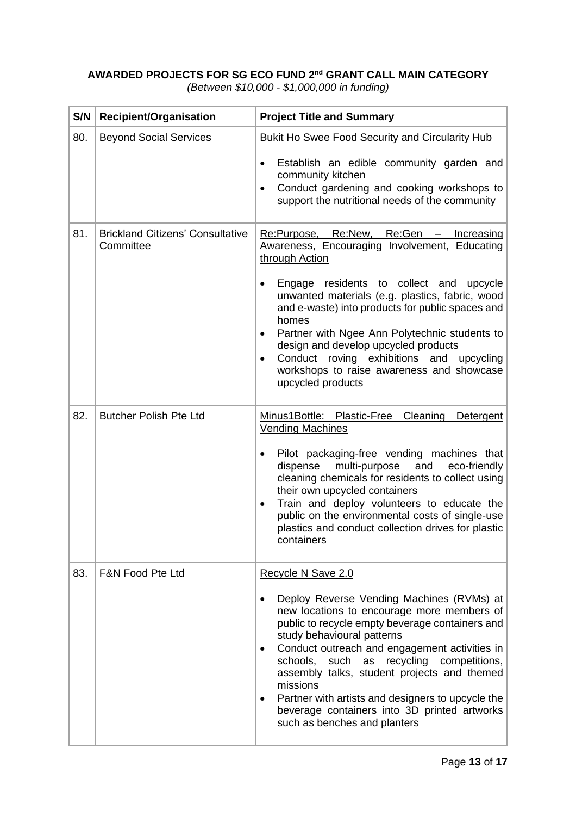## **AWARDED PROJECTS FOR SG ECO FUND 2nd GRANT CALL MAIN CATEGORY**

|  |  | (Between \$10,000 - \$1,000,000 in funding) |  |  |
|--|--|---------------------------------------------|--|--|
|--|--|---------------------------------------------|--|--|

| S/N | <b>Recipient/Organisation</b>                        | <b>Project Title and Summary</b>                                                                                                                                                                                                                                                                                                                                                                                                                                                                   |
|-----|------------------------------------------------------|----------------------------------------------------------------------------------------------------------------------------------------------------------------------------------------------------------------------------------------------------------------------------------------------------------------------------------------------------------------------------------------------------------------------------------------------------------------------------------------------------|
| 80. | <b>Beyond Social Services</b>                        | Bukit Ho Swee Food Security and Circularity Hub                                                                                                                                                                                                                                                                                                                                                                                                                                                    |
|     |                                                      | Establish an edible community garden and<br>$\bullet$<br>community kitchen<br>Conduct gardening and cooking workshops to<br>$\bullet$<br>support the nutritional needs of the community                                                                                                                                                                                                                                                                                                            |
| 81. | <b>Brickland Citizens' Consultative</b><br>Committee | Re:Purpose, Re:New, Re:Gen - Increasing<br>Awareness, Encouraging Involvement, Educating<br>through Action                                                                                                                                                                                                                                                                                                                                                                                         |
|     |                                                      | Engage residents to collect and upcycle<br>unwanted materials (e.g. plastics, fabric, wood<br>and e-waste) into products for public spaces and<br>homes<br>Partner with Ngee Ann Polytechnic students to<br>design and develop upcycled products<br>Conduct roving exhibitions and upcycling<br>$\bullet$<br>workshops to raise awareness and showcase<br>upcycled products                                                                                                                        |
| 82. | <b>Butcher Polish Pte Ltd</b>                        | Minus1Bottle: Plastic-Free Cleaning<br>Detergent<br><b>Vending Machines</b>                                                                                                                                                                                                                                                                                                                                                                                                                        |
|     |                                                      | Pilot packaging-free vending machines that<br>$\bullet$<br>dispense<br>multi-purpose and<br>eco-friendly<br>cleaning chemicals for residents to collect using<br>their own upcycled containers<br>Train and deploy volunteers to educate the<br>٠<br>public on the environmental costs of single-use<br>plastics and conduct collection drives for plastic<br>containers                                                                                                                           |
| 83. | <b>F&amp;N Food Pte Ltd</b>                          | Recycle N Save 2.0                                                                                                                                                                                                                                                                                                                                                                                                                                                                                 |
|     |                                                      | Deploy Reverse Vending Machines (RVMs) at<br>new locations to encourage more members of<br>public to recycle empty beverage containers and<br>study behavioural patterns<br>Conduct outreach and engagement activities in<br>$\bullet$<br>schools,<br>such as recycling competitions,<br>assembly talks, student projects and themed<br>missions<br>Partner with artists and designers to upcycle the<br>$\bullet$<br>beverage containers into 3D printed artworks<br>such as benches and planters |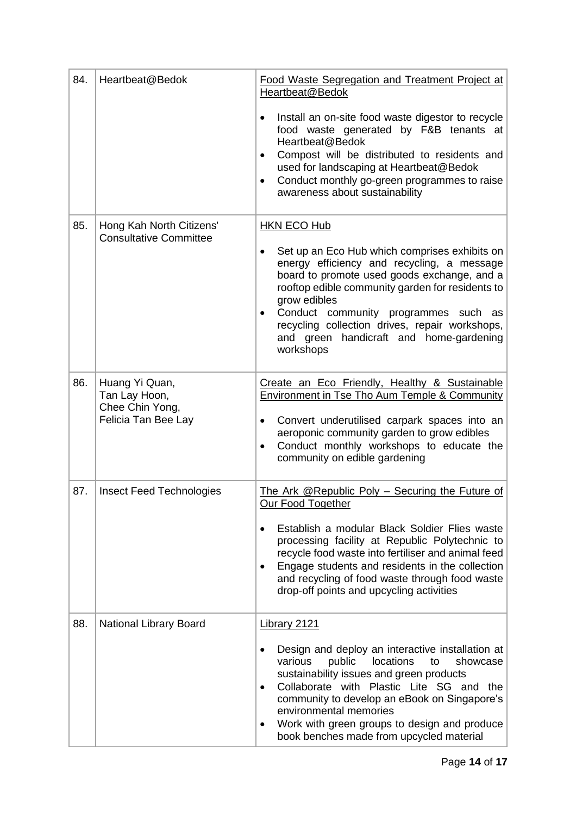| 84. | Heartbeat@Bedok                                                           | Food Waste Segregation and Treatment Project at<br>Heartbeat@Bedok                                                                                                                                                                                                                                                                                                                          |
|-----|---------------------------------------------------------------------------|---------------------------------------------------------------------------------------------------------------------------------------------------------------------------------------------------------------------------------------------------------------------------------------------------------------------------------------------------------------------------------------------|
|     |                                                                           | Install an on-site food waste digestor to recycle<br>food waste generated by F&B tenants at<br>Heartbeat@Bedok<br>Compost will be distributed to residents and<br>used for landscaping at Heartbeat@Bedok<br>Conduct monthly go-green programmes to raise<br>awareness about sustainability                                                                                                 |
| 85. | Hong Kah North Citizens'<br><b>Consultative Committee</b>                 | <b>HKN ECO Hub</b><br>Set up an Eco Hub which comprises exhibits on<br>energy efficiency and recycling, a message<br>board to promote used goods exchange, and a<br>rooftop edible community garden for residents to<br>grow edibles<br>Conduct community programmes such as<br>recycling collection drives, repair workshops,<br>and green handicraft and home-gardening<br>workshops      |
| 86. | Huang Yi Quan,<br>Tan Lay Hoon,<br>Chee Chin Yong,<br>Felicia Tan Bee Lay | Create an Eco Friendly, Healthy & Sustainable<br><b>Environment in Tse Tho Aum Temple &amp; Community</b><br>Convert underutilised carpark spaces into an<br>$\bullet$<br>aeroponic community garden to grow edibles<br>Conduct monthly workshops to educate the<br>community on edible gardening                                                                                           |
| 87. | <b>Insect Feed Technologies</b>                                           | The Ark @Republic Poly - Securing the Future of<br>Our Food Together<br>Establish a modular Black Soldier Flies waste<br>processing facility at Republic Polytechnic to<br>recycle food waste into fertiliser and animal feed<br>Engage students and residents in the collection<br>$\bullet$<br>and recycling of food waste through food waste<br>drop-off points and upcycling activities |
| 88. | <b>National Library Board</b>                                             | Library 2121<br>Design and deploy an interactive installation at<br>various<br>locations<br>public<br>showcase<br>to<br>sustainability issues and green products<br>Collaborate with Plastic Lite SG and the<br>community to develop an eBook on Singapore's<br>environmental memories<br>Work with green groups to design and produce<br>٠<br>book benches made from upcycled material     |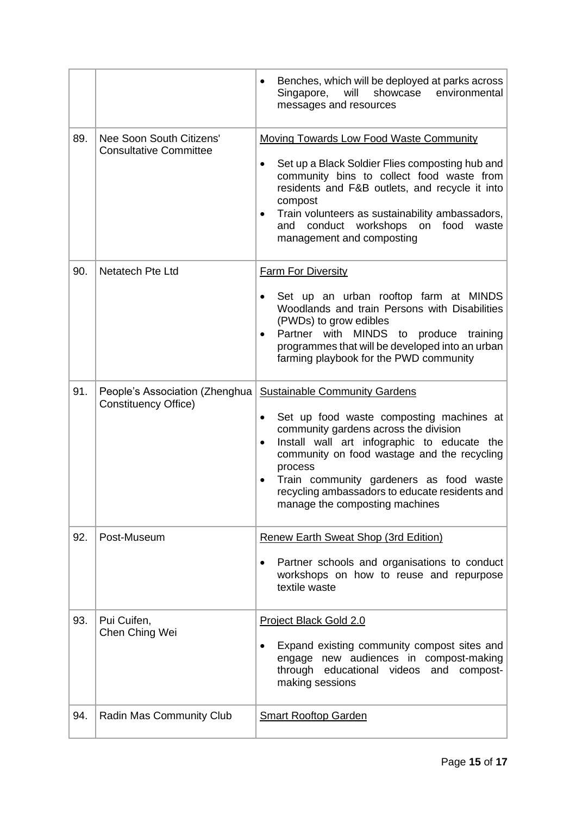|     |                                                                | Benches, which will be deployed at parks across<br>will<br>Singapore,<br>showcase<br>environmental<br>messages and resources                                                                                                                                                                                                        |
|-----|----------------------------------------------------------------|-------------------------------------------------------------------------------------------------------------------------------------------------------------------------------------------------------------------------------------------------------------------------------------------------------------------------------------|
| 89. | Nee Soon South Citizens'<br><b>Consultative Committee</b>      | <b>Moving Towards Low Food Waste Community</b><br>Set up a Black Soldier Flies composting hub and                                                                                                                                                                                                                                   |
|     |                                                                | community bins to collect food waste from<br>residents and F&B outlets, and recycle it into<br>compost<br>Train volunteers as sustainability ambassadors,<br>and conduct workshops on food<br>waste<br>management and composting                                                                                                    |
| 90. | Netatech Pte Ltd                                               | <b>Farm For Diversity</b>                                                                                                                                                                                                                                                                                                           |
|     |                                                                | Set up an urban rooftop farm at MINDS<br>Woodlands and train Persons with Disabilities<br>(PWDs) to grow edibles<br>Partner with MINDS to produce training<br>programmes that will be developed into an urban<br>farming playbook for the PWD community                                                                             |
| 91. | People's Association (Zhenghua)<br><b>Constituency Office)</b> | <b>Sustainable Community Gardens</b>                                                                                                                                                                                                                                                                                                |
|     |                                                                | Set up food waste composting machines at<br>٠<br>community gardens across the division<br>Install wall art infographic to educate the<br>٠<br>community on food wastage and the recycling<br>process<br>Train community gardeners as food waste<br>recycling ambassadors to educate residents and<br>manage the composting machines |
| 92. | Post-Museum                                                    | <b>Renew Earth Sweat Shop (3rd Edition)</b>                                                                                                                                                                                                                                                                                         |
|     |                                                                | Partner schools and organisations to conduct<br>workshops on how to reuse and repurpose<br>textile waste                                                                                                                                                                                                                            |
| 93. | Pui Cuifen,<br>Chen Ching Wei                                  | <b>Project Black Gold 2.0</b>                                                                                                                                                                                                                                                                                                       |
|     |                                                                | Expand existing community compost sites and<br>engage new audiences in compost-making<br>through educational videos<br>and compost-<br>making sessions                                                                                                                                                                              |
| 94. | Radin Mas Community Club                                       | <b>Smart Rooftop Garden</b>                                                                                                                                                                                                                                                                                                         |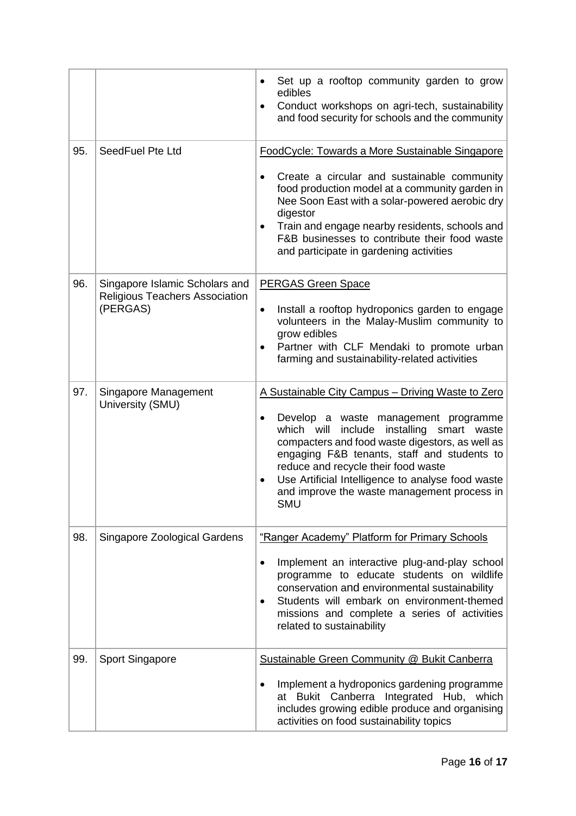|     |                                                                                     | Set up a rooftop community garden to grow<br>edibles<br>Conduct workshops on agri-tech, sustainability<br>$\bullet$<br>and food security for schools and the community                                                                                                                                                                                                                                   |
|-----|-------------------------------------------------------------------------------------|----------------------------------------------------------------------------------------------------------------------------------------------------------------------------------------------------------------------------------------------------------------------------------------------------------------------------------------------------------------------------------------------------------|
| 95. | SeedFuel Pte Ltd                                                                    | FoodCycle: Towards a More Sustainable Singapore<br>Create a circular and sustainable community<br>$\bullet$<br>food production model at a community garden in<br>Nee Soon East with a solar-powered aerobic dry<br>digestor<br>Train and engage nearby residents, schools and<br>F&B businesses to contribute their food waste<br>and participate in gardening activities                                |
| 96. | Singapore Islamic Scholars and<br><b>Religious Teachers Association</b><br>(PERGAS) | <b>PERGAS Green Space</b><br>Install a rooftop hydroponics garden to engage<br>$\bullet$<br>volunteers in the Malay-Muslim community to<br>grow edibles<br>Partner with CLF Mendaki to promote urban<br>farming and sustainability-related activities                                                                                                                                                    |
| 97. | Singapore Management<br>University (SMU)                                            | A Sustainable City Campus - Driving Waste to Zero<br>Develop a waste management programme<br>٠<br>include<br>which will<br>installing<br>smart waste<br>compacters and food waste digestors, as well as<br>engaging F&B tenants, staff and students to<br>reduce and recycle their food waste<br>Use Artificial Intelligence to analyse food waste<br>and improve the waste management process in<br>SMU |
| 98. | Singapore Zoological Gardens                                                        | "Ranger Academy" Platform for Primary Schools<br>Implement an interactive plug-and-play school<br>programme to educate students on wildlife<br>conservation and environmental sustainability<br>Students will embark on environment-themed<br>$\bullet$<br>missions and complete a series of activities<br>related to sustainability                                                                     |
| 99. | <b>Sport Singapore</b>                                                              | Sustainable Green Community @ Bukit Canberra<br>Implement a hydroponics gardening programme<br>at Bukit Canberra Integrated Hub, which<br>includes growing edible produce and organising<br>activities on food sustainability topics                                                                                                                                                                     |